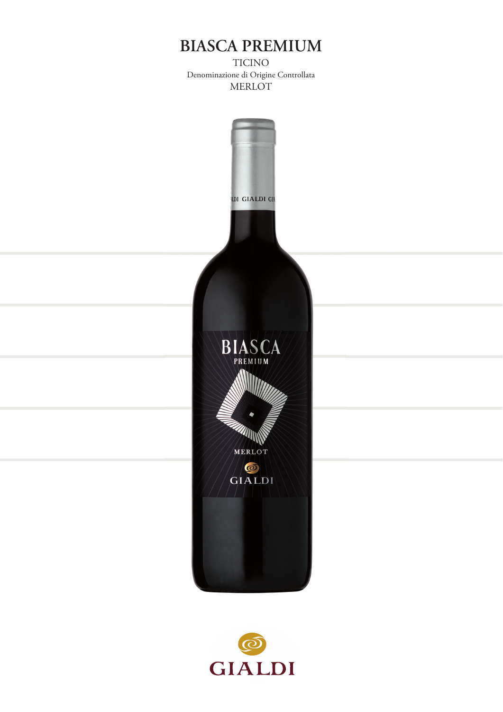## **BIASCA PREMIUM**

TICINO Denominazione di Origine Controllata MERLOT